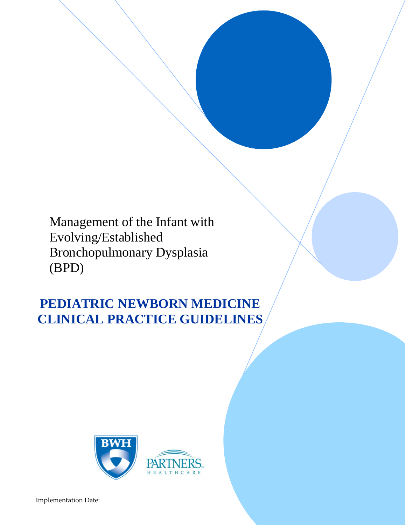Management of the Infant with Evolving/Established Bronchopulmonary Dysplasia (BPD)

# **PEDIATRIC NEWBORN MEDICINE CLINICAL PRACTICE GUIDELINES**

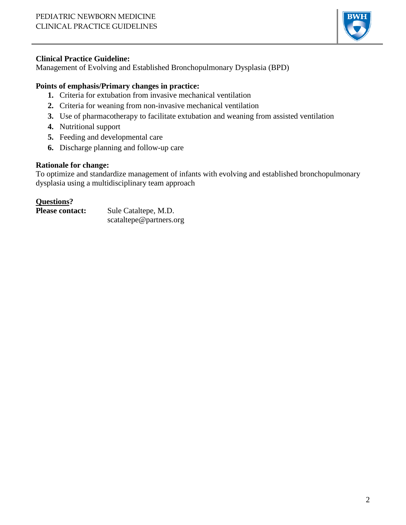

## **Clinical Practice Guideline:**

Management of Evolving and Established Bronchopulmonary Dysplasia (BPD)

# **Points of emphasis/Primary changes in practice:**

- **1.** Criteria for extubation from invasive mechanical ventilation
- **2.** Criteria for weaning from non-invasive mechanical ventilation
- **3.** Use of pharmacotherapy to facilitate extubation and weaning from assisted ventilation
- **4.** Nutritional support
- **5.** Feeding and developmental care
- **6.** Discharge planning and follow-up care

#### **Rationale for change:**

To optimize and standardize management of infants with evolving and established bronchopulmonary dysplasia using a multidisciplinary team approach

## **Questions?**

| <b>Please contact:</b> | Sule Cataltepe, M.D.    |
|------------------------|-------------------------|
|                        | scataltepe@partners.org |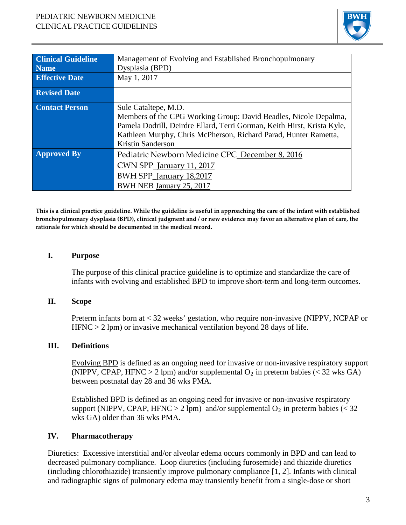

| <b>Clinical Guideline</b> | Management of Evolving and Established Bronchopulmonary                 |
|---------------------------|-------------------------------------------------------------------------|
| <b>Name</b>               | Dysplasia (BPD)                                                         |
| <b>Effective Date</b>     | May 1, 2017                                                             |
| <b>Revised Date</b>       |                                                                         |
| <b>Contact Person</b>     | Sule Cataltepe, M.D.                                                    |
|                           | Members of the CPG Working Group: David Beadles, Nicole Depalma,        |
|                           | Pamela Dodrill, Deirdre Ellard, Terri Gorman, Keith Hirst, Krista Kyle, |
|                           | Kathleen Murphy, Chris McPherson, Richard Parad, Hunter Rametta,        |
|                           | Kristin Sanderson                                                       |
| <b>Approved By</b>        | Pediatric Newborn Medicine CPC December 8, 2016                         |
|                           | CWN SPP_January 11, 2017                                                |
|                           | BWH SPP_January 18,2017                                                 |
|                           | BWH NEB January 25, 2017                                                |

**This is a clinical practice guideline. While the guideline is useful in approaching the care of the infant with established bronchopulmonary dysplasia (BPD), clinical judgment and / or new evidence may favor an alternative plan of care, the rationale for which should be documented in the medical record.**

#### **I. Purpose**

The purpose of this clinical practice guideline is to optimize and standardize the care of infants with evolving and established BPD to improve short-term and long-term outcomes.

#### **II. Scope**

Preterm infants born at < 32 weeks' gestation, who require non-invasive (NIPPV, NCPAP or HFNC > 2 lpm) or invasive mechanical ventilation beyond 28 days of life.

#### **III. Definitions**

Evolving BPD is defined as an ongoing need for invasive or non-invasive respiratory support (NIPPV, CPAP, HFNC > 2 lpm) and/or supplemental  $O_2$  in preterm babies (< 32 wks GA) between postnatal day 28 and 36 wks PMA.

Established BPD is defined as an ongoing need for invasive or non-invasive respiratory support (NIPPV, CPAP, HFNC > 2 lpm) and/or supplemental  $O_2$  in preterm babies (< 32 wks GA) older than 36 wks PMA.

#### **IV. Pharmacotherapy**

Diuretics: Excessive interstitial and/or alveolar edema occurs commonly in BPD and can lead to decreased pulmonary compliance. Loop diuretics (including furosemide) and thiazide diuretics (including chlorothiazide) transiently improve pulmonary compliance [1, 2]. Infants with clinical and radiographic signs of pulmonary edema may transiently benefit from a single-dose or short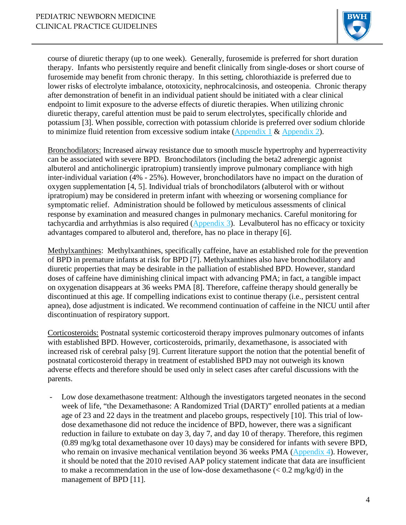

course of diuretic therapy (up to one week). Generally, furosemide is preferred for short duration therapy. Infants who persistently require and benefit clinically from single-doses or short course of furosemide may benefit from chronic therapy. In this setting, chlorothiazide is preferred due to lower risks of electrolyte imbalance, ototoxicity, nephrocalcinosis, and osteopenia. Chronic therapy after demonstration of benefit in an individual patient should be initiated with a clear clinical endpoint to limit exposure to the adverse effects of diuretic therapies. When utilizing chronic diuretic therapy, careful attention must be paid to serum electrolytes, specifically chloride and potassium [3]. When possible, correction with potassium chloride is preferred over sodium chloride to minimize fluid retention from excessive sodium intake [\(Appendix 1](http://www.bwhpikenotes.org/policies/departments/NICU/drug_admin/DAGs/Furosemide%20-%20June%202014.pdf) & [Appendix 2\)](http://www.bwhpikenotes.org/policies/departments/NICU/drug_admin/DAGs/Chlorothiazide%20-%20June%202014.pdf).

Bronchodilators: Increased airway resistance due to smooth muscle hypertrophy and hyperreactivity can be associated with severe BPD. Bronchodilators (including the beta2 adrenergic agonist albuterol and anticholinergic ipratropium) transiently improve pulmonary compliance with high inter-individual variation (4% - 25%). However, bronchodilators have no impact on the duration of oxygen supplementation [4, 5]. Individual trials of bronchodilators (albuterol with or without ipratropium) may be considered in preterm infant with wheezing or worsening compliance for symptomatic relief. Administration should be followed by meticulous assessments of clinical response by examination and measured changes in pulmonary mechanics. Careful monitoring for tachycardia and arrhythmias is also required [\(Appendix](http://www.bwhpikenotes.org/policies/departments/NICU/drug_admin/DAGs/Albuterol%20and%20ipratropium%20-%20June%202014.pdf) 3). Levalbuterol has no efficacy or toxicity advantages compared to albuterol and, therefore, has no place in therapy [6].

Methylxanthines: Methylxanthines, specifically caffeine, have an established role for the prevention of BPD in premature infants at risk for BPD [7]. Methylxanthines also have bronchodilatory and diuretic properties that may be desirable in the palliation of established BPD. However, standard doses of caffeine have diminishing clinical impact with advancing PMA; in fact, a tangible impact on oxygenation disappears at 36 weeks PMA [8]. Therefore, caffeine therapy should generally be discontinued at this age. If compelling indications exist to continue therapy (i.e., persistent central apnea), dose adjustment is indicated. We recommend continuation of caffeine in the NICU until after discontinuation of respiratory support.

Corticosteroids: Postnatal systemic corticosteroid therapy improves pulmonary outcomes of infants with established BPD. However, corticosteroids, primarily, dexamethasone, is associated with increased risk of cerebral palsy [9]. Current literature support the notion that the potential benefit of postnatal corticosteroid therapy in treatment of established BPD may not outweigh its known adverse effects and therefore should be used only in select cases after careful discussions with the parents.

Low dose dexamethasone treatment: Although the investigators targeted neonates in the second week of life, "the Dexamethasone: A Randomized Trial (DART)" enrolled patients at a median age of 23 and 22 days in the treatment and placebo groups, respectively [10]. This trial of lowdose dexamethasone did not reduce the incidence of BPD, however, there was a significant reduction in failure to extubate on day 3, day 7, and day 10 of therapy. Therefore, this regimen (0.89 mg/kg total dexamethasone over 10 days) may be considered for infants with severe BPD, who remain on invasive mechanical ventilation beyond 36 weeks PMA [\(Appendix](http://www.bwhpikenotes.org/policies/departments/NICU/drug_admin/DAGs/Dexamethasone.pdf) 4). However, it should be noted that the 2010 revised AAP policy statement indicate that data are insufficient to make a recommendation in the use of low-dose dexamethasone  $(< 0.2 \text{ mg/kg/d})$  in the management of BPD [11].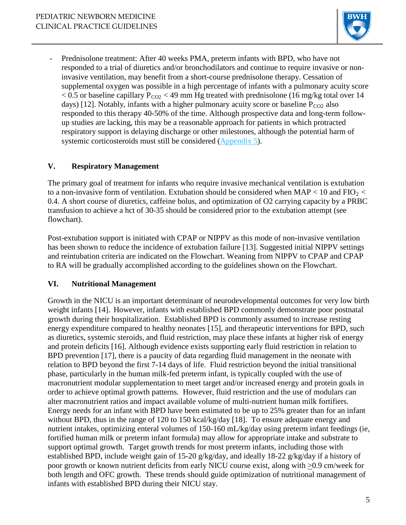

Prednisolone treatment: After 40 weeks PMA, preterm infants with BPD, who have not responded to a trial of diuretics and/or bronchodilators and continue to require invasive or noninvasive ventilation, may benefit from a short-course prednisolone therapy. Cessation of supplemental oxygen was possible in a high percentage of infants with a pulmonary acuity score  $< 0.5$  or baseline capillary P<sub>CO2</sub>  $<$  49 mm Hg treated with prednisolone (16 mg/kg total over 14 days) [12]. Notably, infants with a higher pulmonary acuity score or baseline  $P_{CO2}$  also responded to this therapy 40-50% of the time. Although prospective data and long-term followup studies are lacking, this may be a reasonable approach for patients in which protracted respiratory support is delaying discharge or other milestones, although the potential harm of systemic corticosteroids must still be considered [\(Appendix](http://www.bwhpikenotes.org/policies/departments/NICU/drug_admin/DAGs/Prednisolone%20-%20June%202014.pdf) 5).

## **V. Respiratory Management**

The primary goal of treatment for infants who require invasive mechanical ventilation is extubation to a non-invasive form of ventilation. Extubation should be considered when  $MAP < 10$  and  $FIO_2 <$ 0.4. A short course of diuretics, caffeine bolus, and optimization of O2 carrying capacity by a PRBC transfusion to achieve a hct of 30-35 should be considered prior to the extubation attempt (see flowchart).

Post-extubation support is initiated with CPAP or NIPPV as this mode of non-invasive ventilation has been shown to reduce the incidence of extubation failure [13]. Suggested initial NIPPV settings and reintubation criteria are indicated on the Flowchart. Weaning from NIPPV to CPAP and CPAP to RA will be gradually accomplished according to the guidelines shown on the Flowchart.

### **VI. Nutritional Management**

Growth in the NICU is an important determinant of neurodevelopmental outcomes for very low birth weight infants [14]. However, infants with established BPD commonly demonstrate poor postnatal growth during their hospitalization. Established BPD is commonly assumed to increase resting energy expenditure compared to healthy neonates [15], and therapeutic interventions for BPD, such as diuretics, systemic steroids, and fluid restriction, may place these infants at higher risk of energy and protein deficits [16]. Although evidence exists supporting early fluid restriction in relation to BPD prevention [17], there is a paucity of data regarding fluid management in the neonate with relation to BPD beyond the first 7-14 days of life. Fluid restriction beyond the initial transitional phase, particularly in the human milk-fed preterm infant, is typically coupled with the use of macronutrient modular supplementation to meet target and/or increased energy and protein goals in order to achieve optimal growth patterns. However, fluid restriction and the use of modulars can alter macronutrient ratios and impact available volume of multi-nutrient human milk fortifiers. Energy needs for an infant with BPD have been estimated to be up to 25% greater than for an infant without BPD, thus in the range of 120 to 150 kcal/kg/day [18]. To ensure adequate energy and nutrient intakes, optimizing enteral volumes of 150-160 mL/kg/day using preterm infant feedings (ie, fortified human milk or preterm infant formula) may allow for appropriate intake and substrate to support optimal growth. Target growth trends for most preterm infants, including those with established BPD, include weight gain of 15-20 g/kg/day, and ideally 18-22 g/kg/day if a history of poor growth or known nutrient deficits from early NICU course exist, along with >0.9 cm/week for both length and OFC growth. These trends should guide optimization of nutritional management of infants with established BPD during their NICU stay.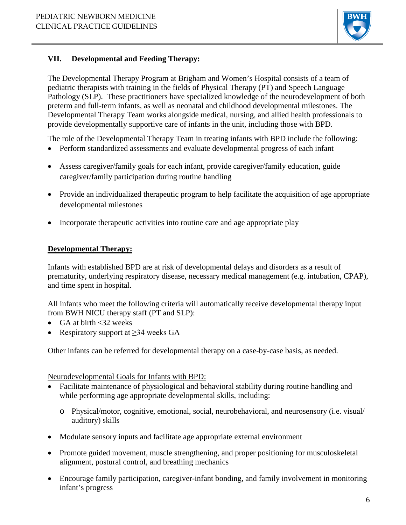

# **VII. Developmental and Feeding Therapy:**

The Developmental Therapy Program at Brigham and Women's Hospital consists of a team of pediatric therapists with training in the fields of Physical Therapy (PT) and Speech Language Pathology (SLP). These practitioners have specialized knowledge of the neurodevelopment of both preterm and full-term infants, as well as neonatal and childhood developmental milestones. The Developmental Therapy Team works alongside medical, nursing, and allied health professionals to provide developmentally supportive care of infants in the unit, including those with BPD.

The role of the Developmental Therapy Team in treating infants with BPD include the following:

- Perform standardized assessments and evaluate developmental progress of each infant
- Assess caregiver/family goals for each infant, provide caregiver/family education, guide caregiver/family participation during routine handling
- Provide an individualized therapeutic program to help facilitate the acquisition of age appropriate developmental milestones
- Incorporate therapeutic activities into routine care and age appropriate play

## **Developmental Therapy:**

Infants with established BPD are at risk of developmental delays and disorders as a result of prematurity, underlying respiratory disease, necessary medical management (e.g. intubation, CPAP), and time spent in hospital.

All infants who meet the following criteria will automatically receive developmental therapy input from BWH NICU therapy staff (PT and SLP):

- GA at birth  $\leq 32$  weeks
- Respiratory support at  $\geq$ 34 weeks GA

Other infants can be referred for developmental therapy on a case-by-case basis, as needed.

Neurodevelopmental Goals for Infants with BPD:

- Facilitate maintenance of physiological and behavioral stability during routine handling and while performing age appropriate developmental skills, including:
	- o Physical/motor, cognitive, emotional, social, neurobehavioral, and neurosensory (i.e. visual/ auditory) skills
- Modulate sensory inputs and facilitate age appropriate external environment
- Promote guided movement, muscle strengthening, and proper positioning for musculoskeletal alignment, postural control, and breathing mechanics
- Encourage family participation, caregiver-infant bonding, and family involvement in monitoring infant's progress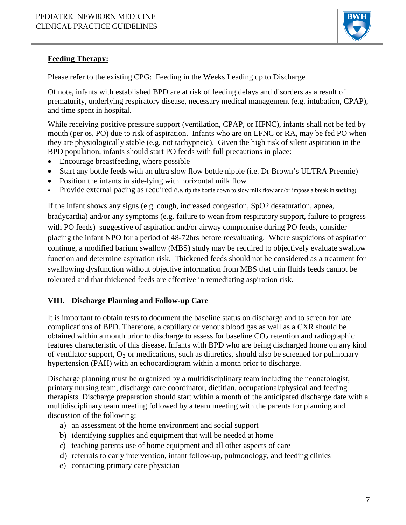

# **Feeding Therapy:**

Please refer to the existing CPG: Feeding in the Weeks Leading up to Discharge

Of note, infants with established BPD are at risk of feeding delays and disorders as a result of prematurity, underlying respiratory disease, necessary medical management (e.g. intubation, CPAP), and time spent in hospital.

While receiving positive pressure support (ventilation, CPAP, or HFNC), infants shall not be fed by mouth (per os, PO) due to risk of aspiration. Infants who are on LFNC or RA, may be fed PO when they are physiologically stable (e.g. not tachypneic). Given the high risk of silent aspiration in the BPD population, infants should start PO feeds with full precautions in place:

- Encourage breastfeeding, where possible
- Start any bottle feeds with an ultra slow flow bottle nipple (i.e. Dr Brown's ULTRA Preemie)
- Position the infants in side-lying with horizontal milk flow
- Provide external pacing as required (i.e. tip the bottle down to slow milk flow and/or impose a break in sucking)

If the infant shows any signs (e.g. cough, increased congestion, SpO2 desaturation, apnea, bradycardia) and/or any symptoms (e.g. failure to wean from respiratory support, failure to progress with PO feeds) suggestive of aspiration and/or airway compromise during PO feeds, consider placing the infant NPO for a period of 48-72hrs before reevaluating. Where suspicions of aspiration continue, a modified barium swallow (MBS) study may be required to objectively evaluate swallow function and determine aspiration risk. Thickened feeds should not be considered as a treatment for swallowing dysfunction without objective information from MBS that thin fluids feeds cannot be tolerated and that thickened feeds are effective in remediating aspiration risk.

# **VIII. Discharge Planning and Follow-up Care**

It is important to obtain tests to document the baseline status on discharge and to screen for late complications of BPD. Therefore, a capillary or venous blood gas as well as a CXR should be obtained within a month prior to discharge to assess for baseline  $CO<sub>2</sub>$  retention and radiographic features characteristic of this disease. Infants with BPD who are being discharged home on any kind of ventilator support,  $O_2$  or medications, such as diuretics, should also be screened for pulmonary hypertension (PAH) with an echocardiogram within a month prior to discharge.

Discharge planning must be organized by a multidisciplinary team including the neonatologist, primary nursing team, discharge care coordinator, dietitian, occupational/physical and feeding therapists. Discharge preparation should start within a month of the anticipated discharge date with a multidisciplinary team meeting followed by a team meeting with the parents for planning and discussion of the following:

- a) an assessment of the home environment and social support
- b) identifying supplies and equipment that will be needed at home
- c) teaching parents use of home equipment and all other aspects of care
- d) referrals to early intervention, infant follow-up, pulmonology, and feeding clinics
- e) contacting primary care physician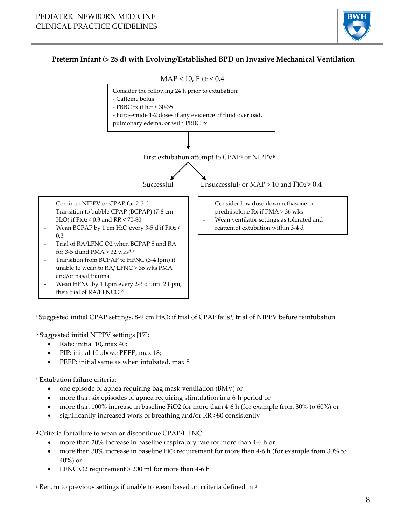

## **Preterm Infant (> 28 d) with Evolving/Established BPD on Invasive Mechanical Ventilation**



<sup>a</sup> Suggested initial CPAP settings, 8-9 cm H<sub>2</sub>O; if trial of CPAP fails<sup>d</sup>, trial of NIPPV before reintubation

<sup>b</sup> Suggested initial NIPPV settings [17]:

- Rate: initial 10, max 40;
- PIP: initial 10 above PEEP, max 18;
- PEEP: initial same as when intubated, max 8

<sup>c</sup> Extubation failure criteria:

- one episode of apnea requiring bag mask ventilation (BMV) or
- more than six episodes of apnea requiring stimulation in a 6-h period or
- more than 100% increase in baseline FiO2 for more than 4-6 h (for example from 30% to 60%) or
- significantly increased work of breathing and/or RR >80 consistently

d Criteria for failure to wean or discontinue CPAP/HFNC:

- more than 20% increase in baseline respiratory rate for more than 4-6 h or
- more than 30% increase in baseline FIO<sub>2</sub> requirement for more than 4-6 h (for example from 30% to 40%) or
- LFNC O2 requirement > 200 ml for more than 4-6 h

e Return to previous settings if unable to wean based on criteria defined in d